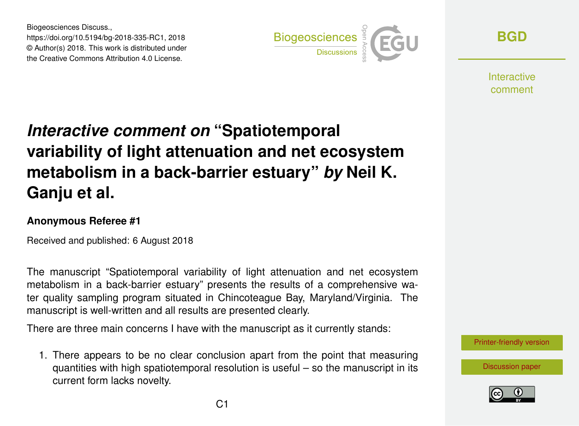Biogeosciences Discuss., https://doi.org/10.5194/bg-2018-335-RC1, 2018 © Author(s) 2018. This work is distributed under the Creative Commons Attribution 4.0 License.



**[BGD](https://www.biogeosciences-discuss.net/)**

Interactive comment

## *Interactive comment on* **"Spatiotemporal variability of light attenuation and net ecosystem metabolism in a back-barrier estuary"** *by* **Neil K. Ganju et al.**

## **Anonymous Referee #1**

Received and published: 6 August 2018

The manuscript "Spatiotemporal variability of light attenuation and net ecosystem metabolism in a back-barrier estuary" presents the results of a comprehensive water quality sampling program situated in Chincoteague Bay, Maryland/Virginia. The manuscript is well-written and all results are presented clearly.

There are three main concerns I have with the manuscript as it currently stands:

1. There appears to be no clear conclusion apart from the point that measuring quantities with high spatiotemporal resolution is useful – so the manuscript in its current form lacks novelty.

[Printer-friendly version](https://www.biogeosciences-discuss.net/bg-2018-335/bg-2018-335-RC1-print.pdf)

[Discussion paper](https://www.biogeosciences-discuss.net/bg-2018-335)

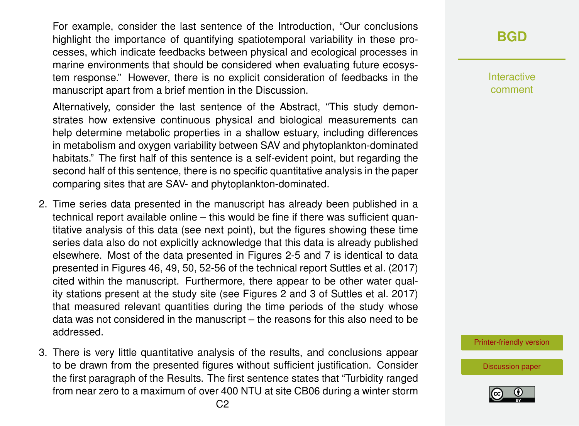For example, consider the last sentence of the Introduction, "Our conclusions highlight the importance of quantifying spatiotemporal variability in these processes, which indicate feedbacks between physical and ecological processes in marine environments that should be considered when evaluating future ecosystem response." However, there is no explicit consideration of feedbacks in the manuscript apart from a brief mention in the Discussion.

Alternatively, consider the last sentence of the Abstract, "This study demonstrates how extensive continuous physical and biological measurements can help determine metabolic properties in a shallow estuary, including differences in metabolism and oxygen variability between SAV and phytoplankton-dominated habitats." The first half of this sentence is a self-evident point, but regarding the second half of this sentence, there is no specific quantitative analysis in the paper comparing sites that are SAV- and phytoplankton-dominated.

- 2. Time series data presented in the manuscript has already been published in a technical report available online – this would be fine if there was sufficient quantitative analysis of this data (see next point), but the figures showing these time series data also do not explicitly acknowledge that this data is already published elsewhere. Most of the data presented in Figures 2-5 and 7 is identical to data presented in Figures 46, 49, 50, 52-56 of the technical report Suttles et al. (2017) cited within the manuscript. Furthermore, there appear to be other water quality stations present at the study site (see Figures 2 and 3 of Suttles et al. 2017) that measured relevant quantities during the time periods of the study whose data was not considered in the manuscript – the reasons for this also need to be addressed.
- 3. There is very little quantitative analysis of the results, and conclusions appear to be drawn from the presented figures without sufficient justification. Consider the first paragraph of the Results. The first sentence states that "Turbidity ranged from near zero to a maximum of over 400 NTU at site CB06 during a winter storm

**[BGD](https://www.biogeosciences-discuss.net/)**

Interactive comment

[Printer-friendly version](https://www.biogeosciences-discuss.net/bg-2018-335/bg-2018-335-RC1-print.pdf)

[Discussion paper](https://www.biogeosciences-discuss.net/bg-2018-335)